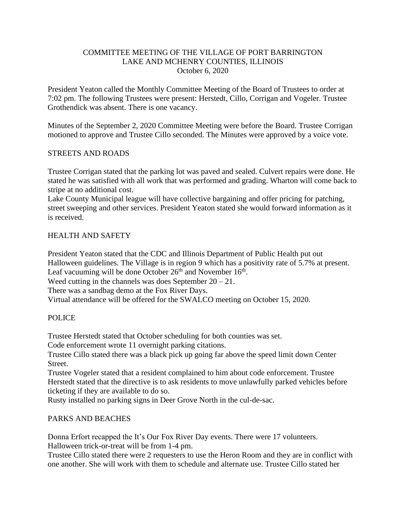### COMMITTEE MEETING OF THE VILLAGE OF PORT BARRINGTON LAKE AND MCHENRY COUNTIES, ILLINOIS October 6, 2020

President Yeaton called the Monthly Committee Meeting of the Board of Trustees to order at 7:02 pm. The following Trustees were present: Herstedt, Cillo, Corrigan and Vogeler. Trustee Grothendick was absent. There is one vacancy.

Minutes of the September 2, 2020 Committee Meeting were before the Board. Trustee Corrigan motioned to approve and Trustee Cillo seconded. The Minutes were approved by a voice vote.

### STREETS AND ROADS

Trustee Corrigan stated that the parking lot was paved and sealed. Culvert repairs were done. He stated he was satisfied with all work that was performed and grading. Wharton will come back to stripe at no additional cost.

Lake County Municipal league will have collective bargaining and offer pricing for patching, street sweeping and other services. President Yeaton stated she would forward information as it is received.

### HEALTH AND SAFETY

President Yeaton stated that the CDC and Illinois Department of Public Health put out Halloween guidelines. The Village is in region 9 which has a positivity rate of 5.7% at present. Leaf vacuuming will be done October  $26<sup>th</sup>$  and November  $16<sup>th</sup>$ . Weed cutting in the channels was does September  $20 - 21$ .

There was a sandbag demo at the Fox River Days.

Virtual attendance will be offered for the SWALCO meeting on October 15, 2020.

### POLICE

Trustee Herstedt stated that October scheduling for both counties was set.

Code enforcement wrote 11 overnight parking citations.

Trustee Cillo stated there was a black pick up going far above the speed limit down Center Street.

Trustee Vogeler stated that a resident complained to him about code enforcement. Trustee Herstedt stated that the directive is to ask residents to move unlawfully parked vehicles before ticketing if they are available to do so.

Rusty installed no parking signs in Deer Grove North in the cul-de-sac.

### PARKS AND BEACHES

Donna Erfort recapped the It's Our Fox River Day events. There were 17 volunteers. Halloween trick-or-treat will be from 1-4 pm.

Trustee Cillo stated there were 2 requesters to use the Heron Room and they are in conflict with one another. She will work with them to schedule and alternate use. Trustee Cillo stated her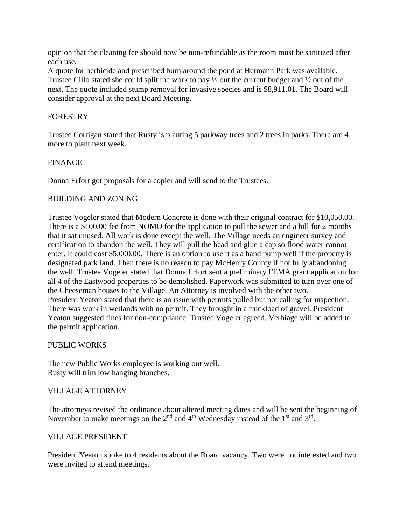opinion that the cleaning fee should now be non-refundable as the room must be sanitized after each use.

A quote for herbicide and prescribed burn around the pond at Hermann Park was available. Trustee Cillo stated she could split the work to pay ½ out the current budget and ½ out of the next. The quote included stump removal for invasive species and is \$8,911.01. The Board will consider approval at the next Board Meeting.

# FORESTRY

Trustee Corrigan stated that Rusty is planting 5 parkway trees and 2 trees in parks. There are 4 more to plant next week.

# FINANCE

Donna Erfort got proposals for a copier and will send to the Trustees.

# BUILDING AND ZONING

Trustee Vogeler stated that Modern Concrete is done with their original contract for \$10,050.00. There is a \$100.00 fee from NOMO for the application to pull the sewer and a bill for 2 months that it sat unused. All work is done except the well. The Village needs an engineer survey and certification to abandon the well. They will pull the head and glue a cap so flood water cannot enter. It could cost \$5,000.00. There is an option to use it as a hand pump well if the property is designated park land. Then there is no reason to pay McHenry County if not fully abandoning the well. Trustee Vogeler stated that Donna Erfort sent a preliminary FEMA grant application for all 4 of the Eastwood properties to be demolished. Paperwork was submitted to turn over one of the Cheeseman houses to the Village. An Attorney is involved with the other two. President Yeaton stated that there is an issue with permits pulled but not calling for inspection. There was work in wetlands with no permit. They brought in a truckload of gravel. President Yeaton suggested fines for non-compliance. Trustee Vogeler agreed. Verbiage will be added to the permit application.

### PUBLIC WORKS

The new Public Works employee is working out well. Rusty will trim low hanging branches.

### VILLAGE ATTORNEY

The attorneys revised the ordinance about altered meeting dates and will be sent the beginning of November to make meetings on the  $2<sup>nd</sup>$  and  $4<sup>th</sup>$  Wednesday instead of the  $1<sup>st</sup>$  and  $3<sup>rd</sup>$ .

### VILLAGE PRESIDENT

President Yeaton spoke to 4 residents about the Board vacancy. Two were not interested and two were invited to attend meetings.